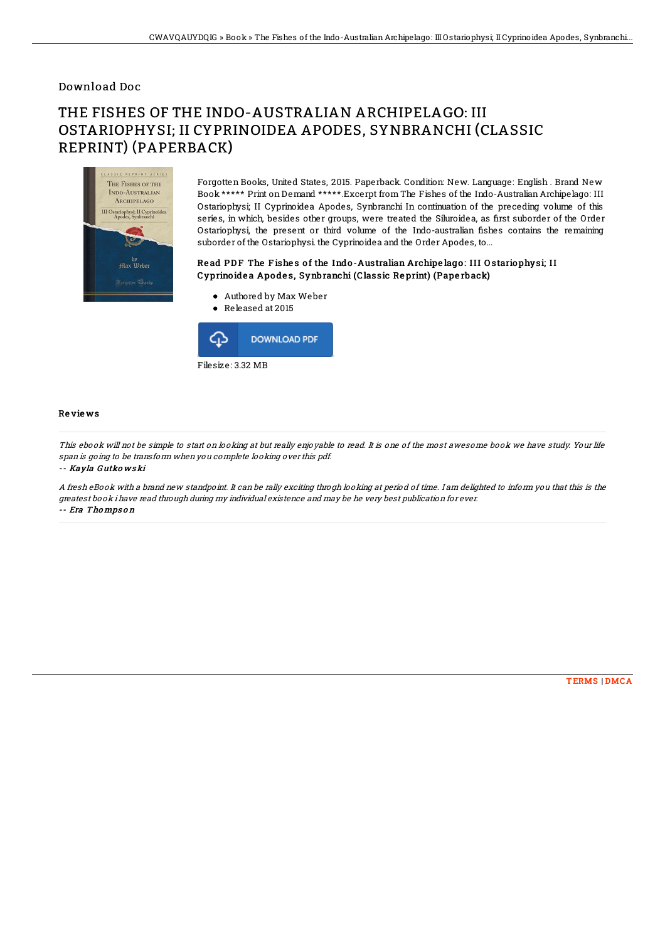## Download Doc

# THE FISHES OF THE INDO-AUSTRALIAN ARCHIPELAGO: III OSTARIOPHYSI; II CYPRINOIDEA APODES, SYNBRANCHI (CLASSIC REPRINT) (PAPERBACK)



Forgotten Books, United States, 2015. Paperback. Condition: New. Language: English . Brand New Book \*\*\*\*\* Print on Demand \*\*\*\*\*.Excerpt from The Fishes of the Indo-Australian Archipelago: III Ostariophysi; II Cyprinoidea Apodes, Synbranchi In continuation of the preceding volume of this series, in which, besides other groups, were treated the Siluroidea, as first suborder of the Order Ostariophysi, the present or third volume of the Indo-australian fishes contains the remaining suborder of the Ostariophysi. the Cyprinoidea and the Order Apodes, to...

### Read PDF The Fishes of the Indo-Australian Archipe lago: III Ostariophysi; II Cyprino ide a Apo de s, Synbranchi (Classic Re print) (Pape rback)

- Authored by Max Weber
- Released at 2015



#### Re vie ws

This ebook will not be simple to start on looking at but really enjoyable to read. It is one of the most awesome book we have study. Your life span is going to be transform when you complete looking over this pdf.

-- Kayla G utko ws ki

A fresh eBook with <sup>a</sup> brand new standpoint. It can be rally exciting throgh looking at period of time. I am delighted to inform you that this is the greatest book i have read through during my individual existence and may be he very best publication for ever. -- Era Thompson